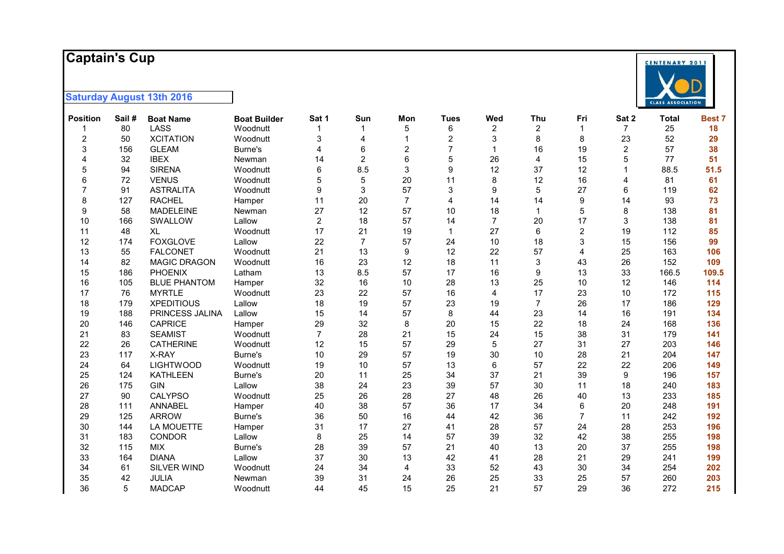#### **Captai n 's Cup**



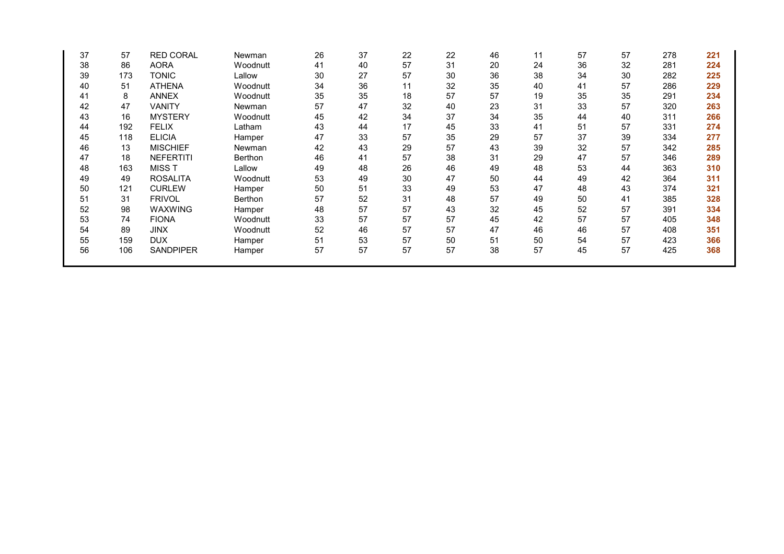| 20<br>24<br>36<br>32<br>281<br>224<br>36<br>38<br>34<br>30<br>282<br>225<br>35<br>57<br>40<br>286<br>229<br>41<br>57<br>35<br>35<br>291<br>19<br>234<br>57<br>23<br>31<br>33<br>320<br>263<br>35<br>34<br>311<br>266<br>44<br>40<br>57<br>33<br>331<br>41<br>51<br>274 |  |
|------------------------------------------------------------------------------------------------------------------------------------------------------------------------------------------------------------------------------------------------------------------------|--|
|                                                                                                                                                                                                                                                                        |  |
|                                                                                                                                                                                                                                                                        |  |
|                                                                                                                                                                                                                                                                        |  |
|                                                                                                                                                                                                                                                                        |  |
|                                                                                                                                                                                                                                                                        |  |
|                                                                                                                                                                                                                                                                        |  |
|                                                                                                                                                                                                                                                                        |  |
| 57<br>37<br>39<br>29<br>334<br>277                                                                                                                                                                                                                                     |  |
| 32<br>57<br>43<br>39<br>342<br>285                                                                                                                                                                                                                                     |  |
| 57<br>31<br>29<br>47<br>346<br>289                                                                                                                                                                                                                                     |  |
| 49<br>48<br>53<br>363<br>310<br>44                                                                                                                                                                                                                                     |  |
| 42<br>311<br>50<br>44<br>49<br>364                                                                                                                                                                                                                                     |  |
| 47<br>53<br>48<br>43<br>374<br>321                                                                                                                                                                                                                                     |  |
| 57<br>49<br>50<br>385<br>328<br>41                                                                                                                                                                                                                                     |  |
| 57<br>32<br>52<br>45<br>391<br>334                                                                                                                                                                                                                                     |  |
| 57<br>42<br>57<br>45<br>405<br>348                                                                                                                                                                                                                                     |  |
| 47<br>57<br>46<br>46<br>351<br>408                                                                                                                                                                                                                                     |  |
| 50<br>57<br>51<br>54<br>423<br>366                                                                                                                                                                                                                                     |  |
| 57<br>57<br>38<br>45<br>425<br>368                                                                                                                                                                                                                                     |  |
|                                                                                                                                                                                                                                                                        |  |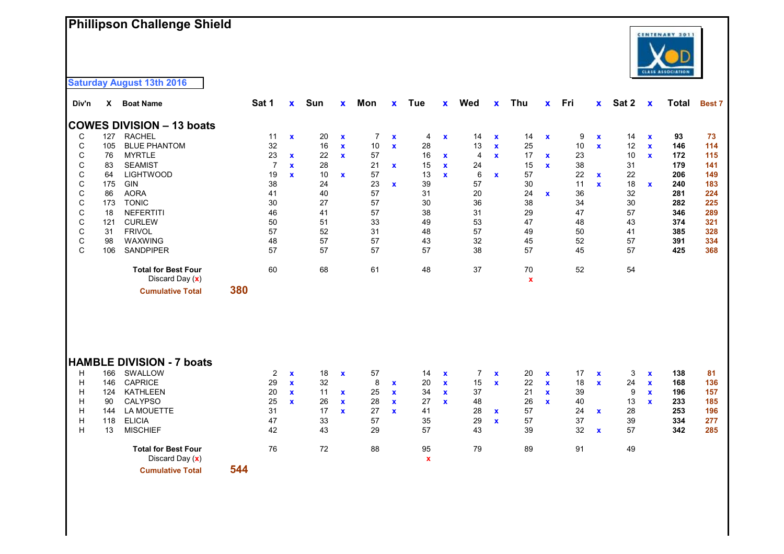# **Phillipson Challenge Shield**



| Div'n                      | X                                     | <b>Boat Name</b>                                                                                                                  |     | Sat 1                                        | $\mathbf{x}$                                                | Sun                              | $\mathbf{x}$                                                | Mon                             | $\mathbf x$                                     | Tue                              | $\mathbf{x}$                                               | Wed                             | $\mathbf{x}$                                                | Thu                              | $\mathbf x$                                              | Fri                              | $\mathbf{x}$                                 | Sat 2                          | $\mathbf x$                                                 | Total                                  | <b>Best 7</b>                         |
|----------------------------|---------------------------------------|-----------------------------------------------------------------------------------------------------------------------------------|-----|----------------------------------------------|-------------------------------------------------------------|----------------------------------|-------------------------------------------------------------|---------------------------------|-------------------------------------------------|----------------------------------|------------------------------------------------------------|---------------------------------|-------------------------------------------------------------|----------------------------------|----------------------------------------------------------|----------------------------------|----------------------------------------------|--------------------------------|-------------------------------------------------------------|----------------------------------------|---------------------------------------|
|                            |                                       | <b>COWES DIVISION - 13 boats</b>                                                                                                  |     |                                              |                                                             |                                  |                                                             |                                 |                                                 |                                  |                                                            |                                 |                                                             |                                  |                                                          |                                  |                                              |                                |                                                             |                                        |                                       |
| C                          | 127                                   | <b>RACHEL</b>                                                                                                                     |     | 11                                           | $\mathbf x$                                                 | 20                               | $\mathbf x$                                                 | 7                               | $\mathbf x$                                     | 4                                | $\mathbf x$                                                | 14                              | $\mathbf x$                                                 | 14                               | $\mathbf x$                                              | 9                                | $\mathbf{x}$                                 | 14                             | $\mathbf x$                                                 | 93                                     | 73                                    |
| С                          | 105                                   | <b>BLUE PHANTOM</b>                                                                                                               |     | 32                                           |                                                             | 16                               | $\mathbf x$                                                 | 10                              | $\mathbf x$                                     | 28                               |                                                            | 13                              | $\mathbf x$                                                 | 25                               |                                                          | 10                               | $\mathbf{x}$                                 | 12                             | $\mathbf{x}$                                                | 146                                    | 114                                   |
| С                          | 76                                    | <b>MYRTLE</b>                                                                                                                     |     | 23                                           | $\mathbf{x}$                                                | 22                               | $\mathbf{x}$                                                | 57                              |                                                 | 16                               | $\mathbf x$                                                | $\overline{4}$                  | $\mathbf x$                                                 | 17                               | $\mathbf x$                                              | 23                               |                                              | 10                             | $\mathbf{x}$                                                | 172                                    | 115                                   |
| $\mathsf C$                | 83                                    | <b>SEAMIST</b>                                                                                                                    |     | $\overline{7}$                               | $\mathbf{x}$                                                | 28                               |                                                             | 21                              | $\mathbf{x}$                                    | 15                               | $\mathbf{x}$                                               | 24                              |                                                             | 15                               | $\mathbf x$                                              | 38                               |                                              | 31                             |                                                             | 179                                    | 141                                   |
| $\mathsf C$                | 64                                    | <b>LIGHTWOOD</b>                                                                                                                  |     | 19                                           | $\mathbf{x}$                                                | 10                               | $\mathbf{x}$                                                | 57                              |                                                 | 13                               | $\mathbf{x}$                                               | 6                               | $\mathbf{x}$                                                | 57                               |                                                          | 22                               | $\mathbf{x}$                                 | 22                             |                                                             | 206                                    | 149                                   |
| $\mathsf C$                | 175                                   | GIN                                                                                                                               |     | 38                                           |                                                             | 24                               |                                                             | 23                              | $\mathbf{x}$                                    | 39                               |                                                            | 57                              |                                                             | 30                               |                                                          | 11                               | $\mathbf{x}$                                 | 18                             | $\mathbf{x}$                                                | 240                                    | 183                                   |
| $\mathsf C$                | 86                                    | <b>AORA</b>                                                                                                                       |     | 41                                           |                                                             | 40                               |                                                             | 57                              |                                                 | 31                               |                                                            | 20                              |                                                             | 24                               | $\mathbf x$                                              | 36                               |                                              | 32                             |                                                             | 281                                    | 224                                   |
| $\mathsf C$                | 173                                   | <b>TONIC</b>                                                                                                                      |     | 30                                           |                                                             | 27                               |                                                             | 57                              |                                                 | $30\,$                           |                                                            | 36                              |                                                             | 38                               |                                                          | 34                               |                                              | $30\,$                         |                                                             | 282                                    | 225                                   |
| C                          | 18                                    | <b>NEFERTITI</b>                                                                                                                  |     | 46                                           |                                                             | 41                               |                                                             | 57                              |                                                 | 38                               |                                                            | 31                              |                                                             | 29                               |                                                          | 47                               |                                              | 57                             |                                                             | 346                                    | 289                                   |
| $\mathsf C$                | 121                                   | <b>CURLEW</b>                                                                                                                     |     | 50                                           |                                                             | 51                               |                                                             | 33                              |                                                 | 49                               |                                                            | 53                              |                                                             | 47                               |                                                          | 48                               |                                              | 43                             |                                                             | 374                                    | 321                                   |
| $\mathsf C$                | 31                                    | <b>FRIVOL</b>                                                                                                                     |     | 57                                           |                                                             | 52                               |                                                             | 31                              |                                                 | 48                               |                                                            | 57                              |                                                             | 49                               |                                                          | 50                               |                                              | 41                             |                                                             | 385                                    | 328                                   |
| $\mathsf C$                | 98                                    | WAXWING                                                                                                                           |     | 48                                           |                                                             | 57                               |                                                             | 57                              |                                                 | 43                               |                                                            | 32                              |                                                             | 45                               |                                                          | 52                               |                                              | 57                             |                                                             | 391                                    | 334                                   |
| C                          | 106                                   | <b>SANDPIPER</b>                                                                                                                  |     | 57                                           |                                                             | 57                               |                                                             | 57                              |                                                 | 57                               |                                                            | 38                              |                                                             | 57                               |                                                          | 45                               |                                              | 57                             |                                                             | 425                                    | 368                                   |
|                            |                                       | <b>Total for Best Four</b><br>Discard Day $(x)$                                                                                   |     | 60                                           |                                                             | 68                               |                                                             | 61                              |                                                 | 48                               |                                                            | 37                              |                                                             | 70<br>$\mathbf x$                |                                                          | 52                               |                                              | 54                             |                                                             |                                        |                                       |
|                            |                                       | <b>Cumulative Total</b>                                                                                                           | 380 |                                              |                                                             |                                  |                                                             |                                 |                                                 |                                  |                                                            |                                 |                                                             |                                  |                                                          |                                  |                                              |                                |                                                             |                                        |                                       |
| H<br>H<br>H<br>H<br>H<br>H | 166<br>146<br>124<br>90<br>144<br>118 | <b>HAMBLE DIVISION - 7 boats</b><br>SWALLOW<br><b>CAPRICE</b><br><b>KATHLEEN</b><br><b>CALYPSO</b><br>LA MOUETTE<br><b>ELICIA</b> |     | $\overline{2}$<br>29<br>20<br>25<br>31<br>47 | $\mathbf x$<br>$\mathbf{x}$<br>$\mathbf{x}$<br>$\mathbf{x}$ | 18<br>32<br>11<br>26<br>17<br>33 | $\mathbf x$<br>$\mathbf{x}$<br>$\mathbf{x}$<br>$\mathbf{x}$ | 57<br>8<br>25<br>28<br>27<br>57 | x<br>$\mathbf x$<br>$\mathbf x$<br>$\mathbf{x}$ | 14<br>20<br>34<br>27<br>41<br>35 | $\mathbf x$<br>$\mathbf{x}$<br>$\mathbf{x}$<br>$\mathbf x$ | 7<br>15<br>37<br>48<br>28<br>29 | $\mathbf x$<br>$\mathbf{x}$<br>$\mathbf{x}$<br>$\mathbf{x}$ | 20<br>22<br>21<br>26<br>57<br>57 | $\mathbf x$<br>$\mathbf x$<br>$\mathbf x$<br>$\mathbf x$ | 17<br>18<br>39<br>40<br>24<br>37 | $\mathbf{x}$<br>$\mathbf{x}$<br>$\mathbf{x}$ | 3<br>24<br>9<br>13<br>28<br>39 | $\mathbf x$<br>$\mathbf{x}$<br>$\mathbf{x}$<br>$\mathbf{x}$ | 138<br>168<br>196<br>233<br>253<br>334 | 81<br>136<br>157<br>185<br>196<br>277 |
| H                          | 13                                    | <b>MISCHIEF</b>                                                                                                                   |     | 42                                           |                                                             | 43                               |                                                             | 29                              |                                                 | 57                               |                                                            | 43                              |                                                             | 39                               |                                                          | 32                               | $\mathbf{x}$                                 | 57                             |                                                             | 342                                    | 285                                   |
|                            |                                       | <b>Total for Best Four</b><br>Discard Day (x)                                                                                     |     | 76                                           |                                                             | 72                               |                                                             | 88                              |                                                 | 95<br>$\mathbf x$                |                                                            | 79                              |                                                             | 89                               |                                                          | 91                               |                                              | 49                             |                                                             |                                        |                                       |

**Cumulative Total 544**

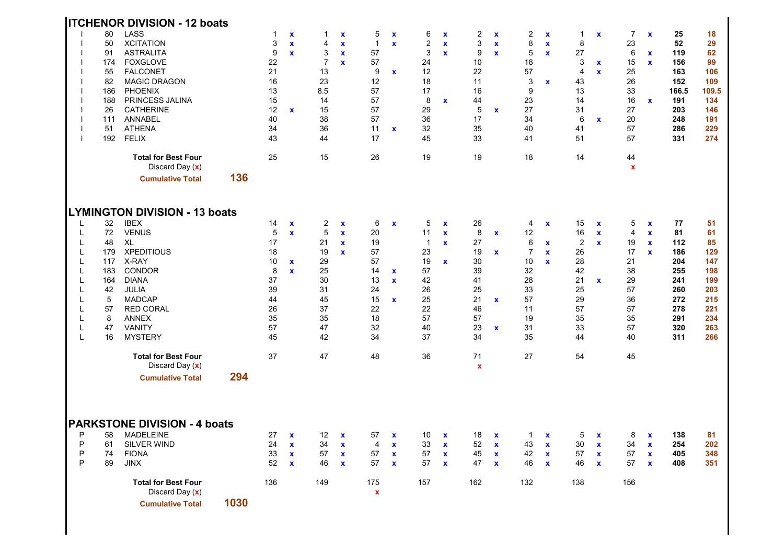|                                                               |                                                                              | <b>ITCHENOR DIVISION - 12 boats</b>                                                                                                                                                                                                                                      |      |                                                                                |                                                            |                                                                                 |                                                             |                                                                                 |                                                                          |                                                                                             |                                                                   |                                                                                                |                                                           |                                                                                            |                                                            |                                                                                              |                                                             |                                                                                |                                                            |                                                                                       |                                                                                      |
|---------------------------------------------------------------|------------------------------------------------------------------------------|--------------------------------------------------------------------------------------------------------------------------------------------------------------------------------------------------------------------------------------------------------------------------|------|--------------------------------------------------------------------------------|------------------------------------------------------------|---------------------------------------------------------------------------------|-------------------------------------------------------------|---------------------------------------------------------------------------------|--------------------------------------------------------------------------|---------------------------------------------------------------------------------------------|-------------------------------------------------------------------|------------------------------------------------------------------------------------------------|-----------------------------------------------------------|--------------------------------------------------------------------------------------------|------------------------------------------------------------|----------------------------------------------------------------------------------------------|-------------------------------------------------------------|--------------------------------------------------------------------------------|------------------------------------------------------------|---------------------------------------------------------------------------------------|--------------------------------------------------------------------------------------|
|                                                               | 80<br>50<br>91<br>174<br>55<br>82<br>186<br>188<br>26<br>111<br>51<br>192    | <b>LASS</b><br><b>XCITATION</b><br><b>ASTRALITA</b><br><b>FOXGLOVE</b><br><b>FALCONET</b><br><b>MAGIC DRAGON</b><br><b>PHOENIX</b><br>PRINCESS JALINA<br><b>CATHERINE</b><br>ANNABEL<br><b>ATHENA</b><br><b>FELIX</b>                                                    |      | 1<br>3<br>9<br>22<br>21<br>16<br>13<br>15<br>12<br>40<br>34<br>43              | $\mathbf x$<br>$\mathbf x$<br>$\mathbf{x}$<br>$\mathbf x$  | -1<br>4<br>3<br>$\overline{7}$<br>13<br>23<br>8.5<br>14<br>15<br>38<br>36<br>44 | $\mathbf x$<br>$\mathbf x$<br>$\mathbf x$<br>$\mathbf{x}$   | 5<br>$\mathbf{1}$<br>57<br>57<br>9<br>12<br>57<br>57<br>57<br>57<br>11<br>17    | $\boldsymbol{\mathsf{x}}$<br>$\mathbf x$<br>$\mathbf{x}$<br>$\mathbf{x}$ | 6<br>2<br>3<br>24<br>12<br>18<br>17<br>8<br>29<br>36<br>32<br>45                            | $\pmb{\chi}$<br>$\mathbf x$<br>$\mathbf x$<br>$\mathbf{x}$        | 2<br>3<br>9<br>10<br>22<br>11<br>16<br>44<br>5<br>17<br>35<br>33                               | $\mathbf x$<br>$\mathbf x$<br>$\mathbf x$<br>$\mathbf x$  | 2<br>8<br>5<br>18<br>57<br>3<br>9<br>23<br>27<br>34<br>40<br>41                            | $\mathbf x$<br>$\mathbf x$<br>$\mathbf x$<br>x             | 1<br>8<br>27<br>3<br>4<br>43<br>13<br>14<br>31<br>6<br>41<br>51                              | $\mathbf x$<br>X<br>$\mathbf x$<br>$\mathbf{x}$             | 7<br>23<br>6<br>15<br>25<br>26<br>33<br>16<br>27<br>20<br>57<br>57             | $\mathbf x$<br>$\mathbf x$<br>$\mathbf{x}$<br>$\mathbf{x}$ | 25<br>52<br>119<br>156<br>163<br>152<br>166.5<br>191<br>203<br>248<br>286<br>331      | 18<br>29<br>62<br>99<br>106<br>109<br>109.5<br>134<br>146<br>191<br>229<br>274       |
|                                                               |                                                                              | <b>Total for Best Four</b><br>Discard Day (x)<br><b>Cumulative Total</b>                                                                                                                                                                                                 | 136  | 25                                                                             |                                                            | 15                                                                              |                                                             | 26                                                                              |                                                                          | 19                                                                                          |                                                                   | 19                                                                                             |                                                           | 18                                                                                         |                                                            | 14                                                                                           |                                                             | 44<br>$\mathbf x$                                                              |                                                            |                                                                                       |                                                                                      |
|                                                               |                                                                              | <b>LYMINGTON DIVISION - 13 boats</b>                                                                                                                                                                                                                                     |      |                                                                                |                                                            |                                                                                 |                                                             |                                                                                 |                                                                          |                                                                                             |                                                                   |                                                                                                |                                                           |                                                                                            |                                                            |                                                                                              |                                                             |                                                                                |                                                            |                                                                                       |                                                                                      |
| L<br>L<br>L<br>L<br>L<br>L<br>L<br>L<br>L<br>L<br>L<br>L<br>L | 32<br>72<br>48<br>179<br>117<br>183<br>164<br>42<br>5<br>57<br>8<br>47<br>16 | <b>IBEX</b><br><b>VENUS</b><br>XL<br><b>XPEDITIOUS</b><br>X-RAY<br>CONDOR<br><b>DIANA</b><br>JULIA<br><b>MADCAP</b><br><b>RED CORAL</b><br><b>ANNEX</b><br><b>VANITY</b><br><b>MYSTERY</b><br><b>Total for Best Four</b><br>Discard Day $(x)$<br><b>Cumulative Total</b> | 294  | 14<br>5<br>17<br>18<br>10<br>8<br>37<br>39<br>44<br>26<br>35<br>57<br>45<br>37 | $\mathbf x$<br>$\mathbf x$<br>$\mathbf x$<br>$\mathbf{x}$  | 2<br>5<br>21<br>19<br>29<br>25<br>30<br>31<br>45<br>37<br>35<br>47<br>42<br>47  | $\mathbf x$<br>$\mathbf x$<br>$\mathbf x$<br>$\mathbf{x}$   | 6<br>20<br>19<br>57<br>57<br>14<br>13<br>24<br>15<br>22<br>18<br>32<br>34<br>48 | $\mathbf x$<br>$\mathbf x$<br>$\mathbf{x}$<br>$\mathbf x$                | 5<br>11<br>$\overline{1}$<br>23<br>19<br>57<br>42<br>26<br>25<br>22<br>57<br>40<br>37<br>36 | $\mathbf x$<br>$\mathbf x$<br>$\mathbf x$<br>$\mathbf x$          | 26<br>8<br>27<br>19<br>30<br>39<br>41<br>25<br>21<br>46<br>57<br>23<br>34<br>71<br>$\mathbf x$ | $\mathbf x$<br>$\mathbf x$<br>$\mathbf{x}$<br>$\mathbf x$ | 4<br>12<br>6<br>$\overline{7}$<br>10<br>32<br>28<br>33<br>57<br>11<br>19<br>31<br>35<br>27 | $\mathbf x$<br>$\mathbf x$<br>$\mathbf x$<br>$\mathbf x$   | 15<br>16<br>$\overline{2}$<br>26<br>28<br>42<br>21<br>25<br>29<br>57<br>35<br>33<br>44<br>54 | $\mathbf x$<br>$\mathbf x$<br>$\mathbf{x}$<br>$\mathbf{x}$  | 5<br>4<br>19<br>17<br>21<br>38<br>29<br>57<br>36<br>57<br>35<br>57<br>40<br>45 | $\mathbf x$<br>$\mathbf x$<br>$\mathbf{x}$<br>$\mathbf x$  | 77<br>81<br>112<br>186<br>204<br>255<br>241<br>260<br>272<br>278<br>291<br>320<br>311 | 51<br>61<br>85<br>129<br>147<br>198<br>199<br>203<br>215<br>221<br>234<br>263<br>266 |
| P<br>P<br>P<br>P                                              | 61<br>74<br>89                                                               | <b>PARKSTONE DIVISION - 4 boats</b><br>58 MADELEINE<br>SILVER WIND<br><b>FIONA</b><br>JINX                                                                                                                                                                               |      | 27<br>24<br>33<br>52                                                           | $\mathbf{x}$<br>$\mathbf x$<br>$\pmb{\chi}$<br>$\mathbf x$ | 12<br>34<br>57<br>46                                                            | $\mathbf{x}$<br>$\mathbf x$<br>$\mathbf{x}$<br>$\mathbf{x}$ | 57<br>4<br>57<br>57                                                             | $\mathbf x$<br>$\mathbf x$<br>$\mathbf x$<br>$\mathbf x$                 | 10<br>33<br>57<br>57                                                                        | $\mathbf{x}$<br>$\pmb{\mathsf{x}}$<br>$\mathbf x$<br>$\mathbf{x}$ | 18<br>52<br>45<br>47                                                                           | $\mathbf x$<br>$\mathbf x$<br>$\mathbf x$<br>$\mathbf x$  | $\mathbf{1}$<br>43<br>42<br>46                                                             | $\mathbf x$<br>$\mathbf x$<br>$\pmb{\chi}$<br>$\mathbf{x}$ | 5 <sub>5</sub><br>30<br>57<br>46                                                             | $\mathbf{x}$<br>$\mathbf x$<br>$\mathbf{x}$<br>$\mathbf{x}$ | 8<br>34<br>57<br>57                                                            | X<br>$\mathbf x$<br>$\pmb{\chi}$<br>$\mathbf x$            | 138<br>254<br>405<br>408                                                              | 81<br>202<br>348<br>351                                                              |
|                                                               |                                                                              | <b>Total for Best Four</b><br>Discard Day (x)<br><b>Cumulative Total</b>                                                                                                                                                                                                 | 1030 | 136                                                                            |                                                            | 149                                                                             |                                                             | 175<br>$\pmb{\mathsf{x}}$                                                       |                                                                          | 157                                                                                         |                                                                   | 162                                                                                            |                                                           | 132                                                                                        |                                                            | 138                                                                                          |                                                             | 156                                                                            |                                                            |                                                                                       |                                                                                      |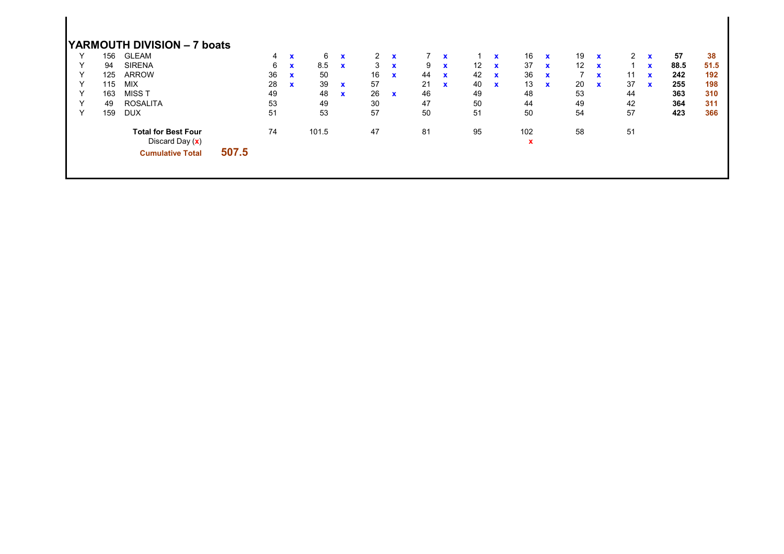|              |     | YARMOUTH DIVISION - 7 boats                   |       |    |              |       |             |              |              |    |              |                   |              |                    |              |    |              |                |             |      |      |
|--------------|-----|-----------------------------------------------|-------|----|--------------|-------|-------------|--------------|--------------|----|--------------|-------------------|--------------|--------------------|--------------|----|--------------|----------------|-------------|------|------|
|              | 156 | <b>GLEAM</b>                                  |       | 4  | $\mathbf{x}$ | 6     | $\mathbf x$ | $\mathbf{2}$ | $\mathbf{x}$ |    | $\mathbf x$  |                   | $\mathbf{x}$ | 16                 | $\mathbf{x}$ | 19 | $\mathbf{x}$ | $\overline{2}$ | $\mathbf x$ | 57   | 38   |
|              | 94  | <b>SIRENA</b>                                 |       | 6  | $\mathbf{x}$ | 8.5   | $\mathbf x$ | 3            | $\mathbf x$  | 9  | $\mathbf x$  | $12 \overline{ }$ | $\mathbf{x}$ | 37                 | $\mathbf x$  | 12 | $\mathbf x$  |                | $\mathbf x$ | 88.5 | 51.5 |
|              | 125 | <b>ARROW</b>                                  |       | 36 | $\mathbf{x}$ | 50    |             | 16           | $\mathbf{x}$ | 44 | $\mathbf x$  | 42                | $\mathbf{x}$ | 36                 | $\mathbf x$  |    | $\mathbf x$  | 11             | $\mathbf x$ | 242  | 192  |
| Υ            | 115 | <b>MIX</b>                                    |       | 28 | $\mathbf{x}$ | 39    | $\mathbf x$ | 57           |              | 21 | $\mathbf{x}$ | 40                | $\mathbf{x}$ | 13                 | $\mathbf{x}$ | 20 | $\mathbf{x}$ | 37             | $\mathbf x$ | 255  | 198  |
| $\checkmark$ | 163 | MISS T                                        |       | 49 |              | 48    | $\mathbf x$ | 26           | $\mathbf{x}$ | 46 |              | 49                |              | 48                 |              | 53 |              | 44             |             | 363  | 310  |
|              | 49  | <b>ROSALITA</b>                               |       | 53 |              | 49    |             | 30           |              | 47 |              | 50                |              | 44                 |              | 49 |              | 42             |             | 364  | 311  |
| $\checkmark$ | 159 | <b>DUX</b>                                    |       | 51 |              | 53    |             | 57           |              | 50 |              | 51                |              | 50                 |              | 54 |              | 57             |             | 423  | 366  |
|              |     | <b>Total for Best Four</b><br>Discard Day (x) |       | 74 |              | 101.5 |             | 47           |              | 81 |              | 95                |              | 102<br>$\mathbf x$ |              | 58 |              | 51             |             |      |      |
|              |     | <b>Cumulative Total</b>                       | 507.5 |    |              |       |             |              |              |    |              |                   |              |                    |              |    |              |                |             |      |      |
|              |     |                                               |       |    |              |       |             |              |              |    |              |                   |              |                    |              |    |              |                |             |      |      |
|              |     |                                               |       |    |              |       |             |              |              |    |              |                   |              |                    |              |    |              |                |             |      |      |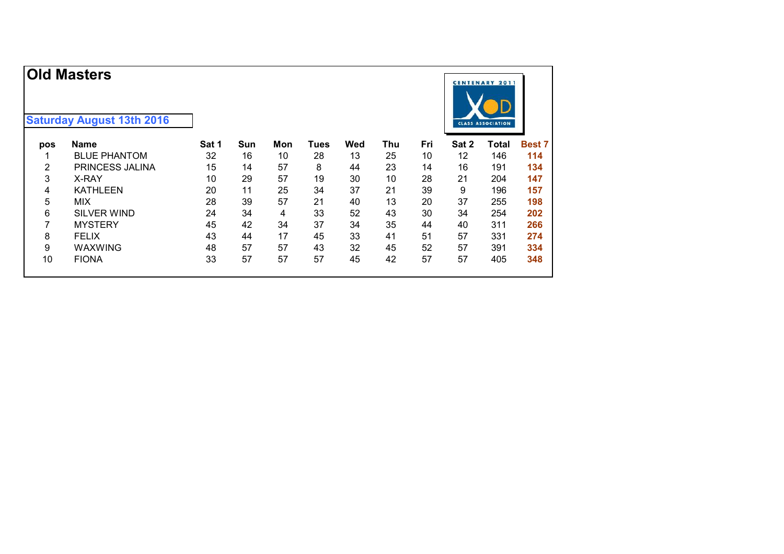|     | <b>Old Masters</b>               |       |     |     |      |     |     |     |       | <b>CENTENARY 2011</b>    |               |
|-----|----------------------------------|-------|-----|-----|------|-----|-----|-----|-------|--------------------------|---------------|
|     | <b>Saturday August 13th 2016</b> |       |     |     |      |     |     |     |       | <b>CLASS ASSOCIATION</b> |               |
| pos | Name                             | Sat 1 | Sun | Mon | Tues | Wed | Thu | Fri | Sat 2 | Total                    | <b>Best 7</b> |
|     | <b>BLUE PHANTOM</b>              | 32    | 16  | 10  | 28   | 13  | 25  | 10  | 12    | 146                      | 114           |
| 2   | PRINCESS JALINA                  | 15    | 14  | 57  | 8    | 44  | 23  | 14  | 16    | 191                      | 134           |
| 3   | X-RAY                            | 10    | 29  | 57  | 19   | 30  | 10  | 28  | 21    | 204                      | 147           |
| 4   | <b>KATHLEEN</b>                  | 20    | 11  | 25  | 34   | 37  | 21  | 39  | 9     | 196                      | 157           |
| 5   | <b>MIX</b>                       | 28    | 39  | 57  | 21   | 40  | 13  | 20  | 37    | 255                      | 198           |
| 6   | SILVER WIND                      | 24    | 34  | 4   | 33   | 52  | 43  | 30  | 34    | 254                      | 202           |
| 7   | <b>MYSTERY</b>                   | 45    | 42  | 34  | 37   | 34  | 35  | 44  | 40    | 311                      | 266           |
| 8   | <b>FELIX</b>                     | 43    | 44  | 17  | 45   | 33  | 41  | 51  | 57    | 331                      | 274           |
| 9   | WAXWING                          | 48    | 57  | 57  | 43   | 32  | 45  | 52  | 57    | 391                      | 334           |
| 10  | <b>FIONA</b>                     | 33    | 57  | 57  | 57   | 45  | 42  | 57  | 57    | 405                      | 348           |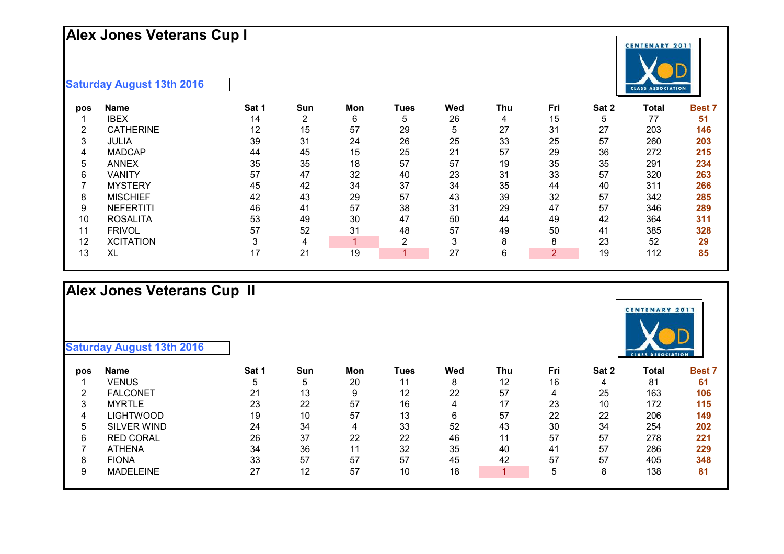# **Alex Jones Veterans Cup I**

#### **Saturday August 13th 2016**

| pos               | <b>Name</b>      | Sat 1 | Sun | Mon | Tues | Wed | Thu | Fri | Sat 2 | Total | <b>Best 7</b> |
|-------------------|------------------|-------|-----|-----|------|-----|-----|-----|-------|-------|---------------|
|                   | IBEX             | 14    | ົ   | 6   | 5    | 26  | 4   | 15  | 5     | 77    | 51            |
| 2                 | <b>CATHERINE</b> | 12    | 15  | 57  | 29   | 5   | 27  | 31  | 27    | 203   | 146           |
| 3                 | <b>JULIA</b>     | 39    | 31  | 24  | 26   | 25  | 33  | 25  | 57    | 260   | 203           |
| 4                 | <b>MADCAP</b>    | 44    | 45  | 15  | 25   | 21  | 57  | 29  | 36    | 272   | 215           |
| 5                 | <b>ANNEX</b>     | 35    | 35  | 18  | 57   | 57  | 19  | 35  | 35    | 291   | 234           |
| 6                 | VANITY           | 57    | 47  | 32  | 40   | 23  | 31  | 33  | 57    | 320   | 263           |
|                   | <b>MYSTERY</b>   | 45    | 42  | 34  | 37   | 34  | 35  | 44  | 40    | 311   | 266           |
| 8                 | <b>MISCHIEF</b>  | 42    | 43  | 29  | 57   | 43  | 39  | 32  | 57    | 342   | 285           |
| 9                 | <b>NEFERTITI</b> | 46    | 41  | 57  | 38   | 31  | 29  | 47  | 57    | 346   | 289           |
| 10                | <b>ROSALITA</b>  | 53    | 49  | 30  | 47   | 50  | 44  | 49  | 42    | 364   | 311           |
| 11                | <b>FRIVOL</b>    | 57    | 52  | 31  | 48   | 57  | 49  | 50  | 41    | 385   | 328           |
| $12 \overline{ }$ | <b>XCITATION</b> |       |     |     | ⌒    | ົ   | 8   |     | 23    | 52    | 29            |
| 13                | XL               |       | 21  | 19  |      | 27  | 6   | 2   | 19    | 112   | 85            |

# **Alex Jones Veterans Cup II**

| pos | Name               | Sat 1 | Sun | Mon | Tues | Wed | Thu | Fri | Sat 2 | Total | <b>Best 7</b> |
|-----|--------------------|-------|-----|-----|------|-----|-----|-----|-------|-------|---------------|
|     | <b>VENUS</b>       |       | 5   | 20  | 11   | 8   | 12  | 16  | 4     | 81    | 61            |
| 2   | <b>FALCONET</b>    | 21    | 13  | 9   | 12   | 22  | 57  |     | 25    | 163   | 106           |
| 3   | <b>MYRTLE</b>      | 23    | 22  | 57  | 16   | 4   | 17  | 23  | 10    | 172   | 115           |
| 4   | LIGHTWOOD          | 19    | 10  | 57  | 13   | 6   | 57  | 22  | 22    | 206   | 149           |
| 5   | <b>SILVER WIND</b> | 24    | 34  | 4   | 33   | 52  | 43  | 30  | 34    | 254   | 202           |
| 6   | <b>RED CORAL</b>   | 26    | 37  | 22  | 22   | 46  | 11  | 57  | 57    | 278   | 221           |
|     | <b>ATHENA</b>      | 34    | 36  | 11  | 32   | 35  | 40  | 41  | 57    | 286   | 229           |
| 8   | <b>FIONA</b>       | 33    | 57  | 57  | 57   | 45  | 42  | 57  | 57    | 405   | 348           |
| 9   | <b>MADELEINE</b>   | 27    | 12  | 57  | 10   | 18  |     | 5   | 8     | 138   | 81            |
|     |                    |       |     |     |      |     |     |     |       |       |               |



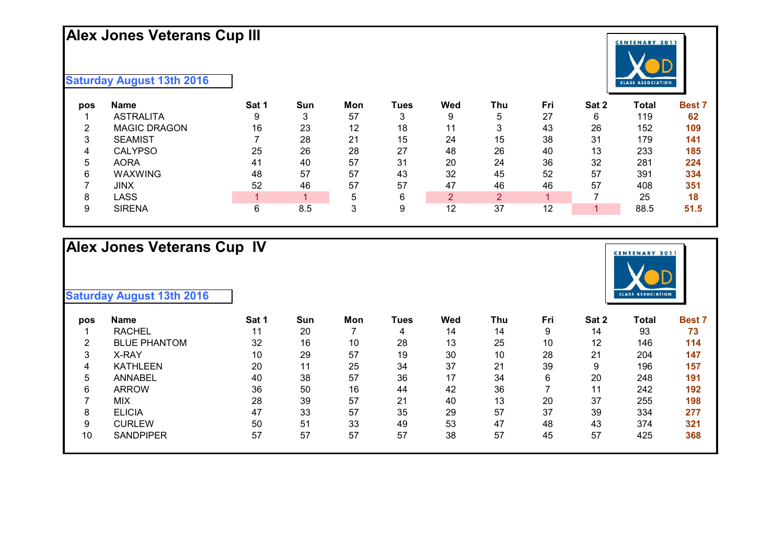# **Alex Jones Veterans Cup III**

# **CENTENARY 2011** CLASS ASSOCIATION

#### **Saturday August 13th 2016**

| pos | <b>Name</b>         | Sat 1 | Sun | Mon | Tues | Wed | Thu | Fri | Sat 2 | Total | <b>Best 7</b> |
|-----|---------------------|-------|-----|-----|------|-----|-----|-----|-------|-------|---------------|
|     | <b>ASTRALITA</b>    |       | 3   | 57  | 3    | 9   | 5   | 27  | 6     | 119   | 62            |
| ◠   | <b>MAGIC DRAGON</b> | 16    | 23  | 12  | 18   | 11  | 3   | 43  | 26    | 152   | 109           |
| 3   | <b>SEAMIST</b>      |       | 28  | 21  | 15   | 24  | 15  | 38  | 31    | 179   | 141           |
| 4   | <b>CALYPSO</b>      | 25    | 26  | 28  | 27   | 48  | 26  | 40  | 13    | 233   | 185           |
| 5   | <b>AORA</b>         | 41    | 40  | 57  | 31   | 20  | 24  | 36  | 32    | 281   | 224           |
| 6   | <b>WAXWING</b>      | 48    | 57  | 57  | 43   | 32  | 45  | 52  | 57    | 391   | 334           |
|     | JINX                | 52    | 46  | 57  | 57   | 47  | 46  | 46  | 57    | 408   | 351           |
| 8   | LASS                |       |     |     | 6    | 2   | 2   |     |       | 25    | 18            |
| 9   | <b>SIRENA</b>       |       | 8.5 |     | 9    | 12  | 37  | 12  |       | 88.5  | 51.5          |

## **Alex Jones Veterans Cup IV**

| pos    | <b>Name</b>         | Sat 1 | Sun | Mon | Tues | Wed | Thu | Fri | Sat 2 | Total | <b>Best 7</b> |
|--------|---------------------|-------|-----|-----|------|-----|-----|-----|-------|-------|---------------|
|        | <b>RACHEL</b>       |       | 20  |     | 4    | 14  | 14  | 9   | 14    | 93    | 73            |
| ົ<br>∠ | <b>BLUE PHANTOM</b> | 32    | 16  | 10  | 28   | 13  | 25  | 10  | 12    | 146   | 114           |
| 3      | X-RAY               | 10    | 29  | 57  | 19   | 30  | 10  | 28  | 21    | 204   | 147           |
| 4      | <b>KATHLEEN</b>     | 20    | 11  | 25  | 34   | 37  | 21  | 39  | 9     | 196   | 157           |
| 5      | <b>ANNABEL</b>      | 40    | 38  | 57  | 36   | 17  | 34  | 6   | 20    | 248   | 191           |
| 6      | <b>ARROW</b>        | 36    | 50  | 16  | 44   | 42  | 36  |     | 11    | 242   | 192           |
|        | MIX                 | 28    | 39  | 57  | 21   | 40  | 13  | 20  | 37    | 255   | 198           |
| 8      | <b>ELICIA</b>       | 47    | 33  | 57  | 35   | 29  | 57  | 37  | 39    | 334   | 277           |
| 9      | <b>CURLEW</b>       | 50    | 51  | 33  | 49   | 53  | 47  | 48  | 43    | 374   | 321           |
| 10     | <b>SANDPIPER</b>    | 57    | 57  | 57  | 57   | 38  | 57  | 45  | 57    | 425   | 368           |
|        |                     |       |     |     |      |     |     |     |       |       |               |

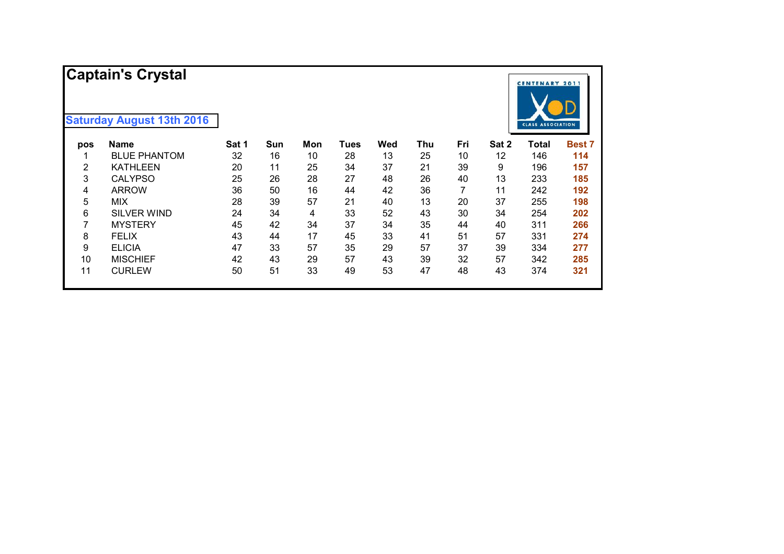|     | <b>Captain's Crystal</b>         |       |     |     |      |     |     |     |       | <b>CENTENARY 2011</b>    |               |
|-----|----------------------------------|-------|-----|-----|------|-----|-----|-----|-------|--------------------------|---------------|
|     | <b>Saturday August 13th 2016</b> |       |     |     |      |     |     |     |       | <b>CLASS ASSOCIATION</b> |               |
| pos | <b>Name</b>                      | Sat 1 | Sun | Mon | Tues | Wed | Thu | Fri | Sat 2 | <b>Total</b>             | <b>Best 7</b> |
|     | <b>BLUE PHANTOM</b>              | 32    | 16  | 10  | 28   | 13  | 25  | 10  | 12    | 146                      | 114           |
| 2   | <b>KATHLEEN</b>                  | 20    | 11  | 25  | 34   | 37  | 21  | 39  | 9     | 196                      | 157           |
| 3   | <b>CALYPSO</b>                   | 25    | 26  | 28  | 27   | 48  | 26  | 40  | 13    | 233                      | 185           |
| 4   | <b>ARROW</b>                     | 36    | 50  | 16  | 44   | 42  | 36  |     | 11    | 242                      | 192           |
| 5   | <b>MIX</b>                       | 28    | 39  | 57  | 21   | 40  | 13  | 20  | 37    | 255                      | 198           |
| 6   | <b>SILVER WIND</b>               | 24    | 34  | 4   | 33   | 52  | 43  | 30  | 34    | 254                      | 202           |
| 7   | <b>MYSTERY</b>                   | 45    | 42  | 34  | 37   | 34  | 35  | 44  | 40    | 311                      | 266           |
| 8   | <b>FELIX</b>                     | 43    | 44  | 17  | 45   | 33  | 41  | 51  | 57    | 331                      | 274           |
| 9   | <b>ELICIA</b>                    | 47    | 33  | 57  | 35   | 29  | 57  | 37  | 39    | 334                      | 277           |
| 10  | <b>MISCHIEF</b>                  | 42    | 43  | 29  | 57   | 43  | 39  | 32  | 57    | 342                      | 285           |
| 11  | <b>CURLEW</b>                    | 50    | 51  | 33  | 49   | 53  | 47  | 48  | 43    | 374                      | 321           |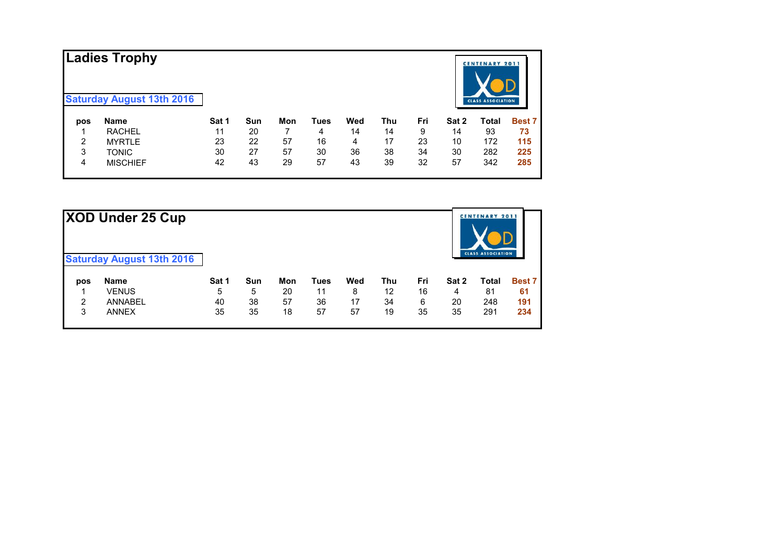|     | Ladies Trophy<br><b>Saturday August 13th 2016</b> |       |     |     |      |     |     |     |       | <b>CENTENARY 2011</b><br><b>CLASS ASSOCIATION</b> |               |
|-----|---------------------------------------------------|-------|-----|-----|------|-----|-----|-----|-------|---------------------------------------------------|---------------|
| pos | <b>Name</b>                                       | Sat 1 | Sun | Mon | Tues | Wed | Thu | Fri | Sat 2 | Total                                             | <b>Best 7</b> |
|     | <b>RACHEL</b>                                     | 11    | 20  |     | 4    | 14  | 14  | 9   | 14    | 93                                                | 73            |
| 2   | <b>MYRTLE</b>                                     | 23    | 22  | 57  | 16   | 4   | 17  | 23  | 10    | 172                                               | 115           |
| 3   | <b>TONIC</b>                                      | 30    | 27  | 57  | 30   | 36  | 38  | 34  | 30    | 282                                               | 225           |
| 4   | <b>MISCHIEF</b>                                   | 42    | 43  | 29  | 57   | 43  | 39  | 32  | 57    | 342                                               | 285           |

|     | XOD Under 25 Cup                 |       |            |     |             |     |            |     |       | <b>CENTENARY 2011</b><br><b>CLASS ASSOCIATION</b> |               |
|-----|----------------------------------|-------|------------|-----|-------------|-----|------------|-----|-------|---------------------------------------------------|---------------|
|     | <b>Saturday August 13th 2016</b> |       |            |     |             |     |            |     |       |                                                   |               |
| pos | <b>Name</b>                      | Sat 1 | <b>Sun</b> | Mon | <b>Tues</b> | Wed | <b>Thu</b> | Fri | Sat 2 | Total                                             | <b>Best 7</b> |
|     | <b>VENUS</b>                     | 5     | 5          | 20  | 11          | 8   | 12         | 16  | 4     | 81                                                | 61            |
| 2   | <b>ANNABEL</b>                   | 40    | 38         | 57  | 36          | 17  | 34         | 6   | 20    | 248                                               | 191           |
| 3   | <b>ANNEX</b>                     | 35    | 35         | 18  | 57          | 57  | 19         | 35  | 35    | 291                                               | 234           |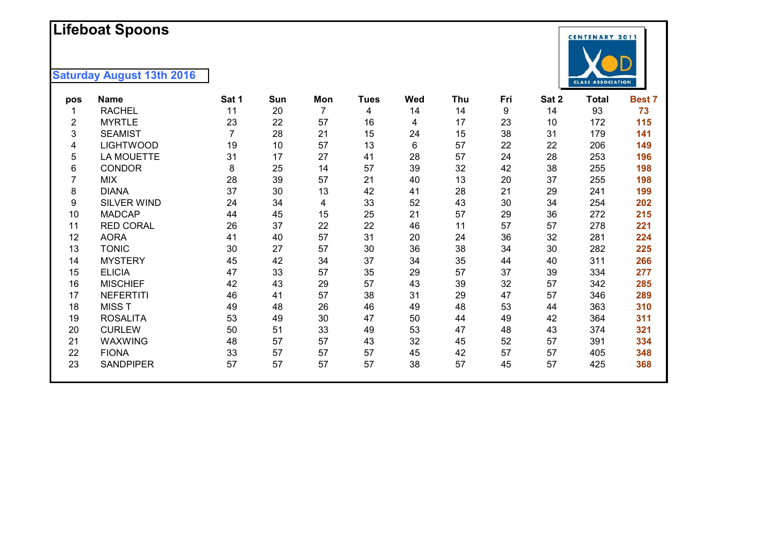### **L i f ebo a t Spoons**



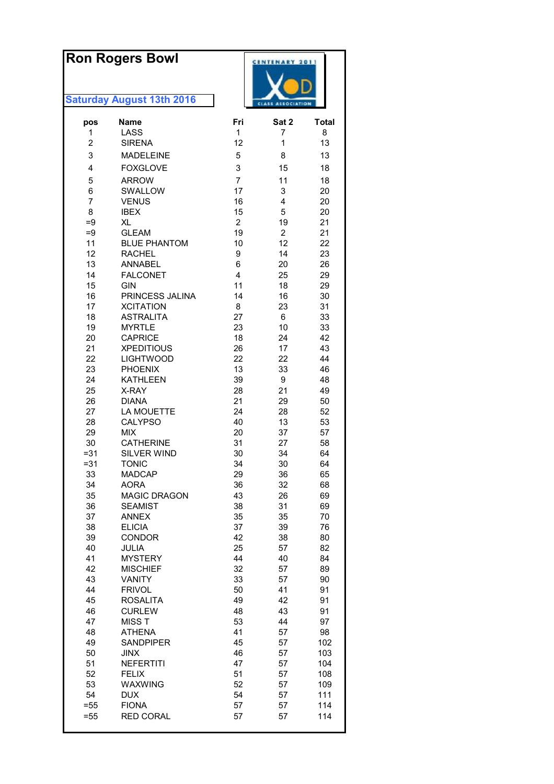| <b>Ron Rogers Bowl</b> |                                    |                      | <b>CENTENARY 2011</b>    |            |  |
|------------------------|------------------------------------|----------------------|--------------------------|------------|--|
|                        |                                    |                      |                          |            |  |
|                        | <b>Saturday August 13th 2016</b>   |                      | <b>CLASS ASSOCIATION</b> |            |  |
| pos                    | <b>Name</b>                        | Fri                  | Sat 2                    | Total      |  |
| 1                      | LASS                               | 1                    | 7                        | 8          |  |
| $\overline{2}$         | <b>SIRENA</b>                      | 12                   | 1                        | 13         |  |
| 3                      | <b>MADELEINE</b>                   | 5                    | 8                        | 13         |  |
| $\overline{4}$         | <b>FOXGLOVE</b>                    | 3                    | 15                       | 18         |  |
| 5                      | <b>ARROW</b>                       | $\overline{7}$       | 11                       | 18         |  |
| 6                      | SWALLOW                            | 17                   | 3                        | 20         |  |
| 7                      | <b>VENUS</b>                       | 16                   | 4                        | 20         |  |
| 8                      | <b>IBEX</b>                        | 15                   | 5                        | 20         |  |
| $=9$<br>$=9$           | XL<br><b>GLEAM</b>                 | $\overline{2}$<br>19 | 19<br>$\overline{2}$     | 21<br>21   |  |
| 11                     | <b>BLUE PHANTOM</b>                | 10                   | 12                       | 22         |  |
| 12                     | <b>RACHEL</b>                      | 9                    | 14                       | 23         |  |
| 13                     | <b>ANNABEL</b>                     | 6                    | 20                       | 26         |  |
| 14                     | <b>FALCONET</b>                    | $\overline{4}$       | 25                       | 29         |  |
| 15                     | <b>GIN</b>                         | 11                   | 18                       | 29         |  |
| 16                     | PRINCESS JALINA                    | 14                   | 16                       | 30         |  |
| 17                     | <b>XCITATION</b>                   | 8                    | 23                       | 31         |  |
| 18                     | <b>ASTRALITA</b>                   | 27                   | 6                        | 33         |  |
| 19                     | <b>MYRTLE</b>                      | 23                   | 10                       | 33         |  |
| 20                     | <b>CAPRICE</b>                     | 18                   | 24                       | 42         |  |
| 21<br>22               | <b>XPEDITIOUS</b>                  | 26                   | 17                       | 43         |  |
| 23                     | <b>LIGHTWOOD</b><br><b>PHOENIX</b> | 22<br>13             | 22<br>33                 | 44<br>46   |  |
| 24                     | <b>KATHLEEN</b>                    | 39                   | 9                        | 48         |  |
| 25                     | X-RAY                              | 28                   | 21                       | 49         |  |
| 26                     | <b>DIANA</b>                       | 21                   | 29                       | 50         |  |
| 27                     | LA MOUETTE                         | 24                   | 28                       | 52         |  |
| 28                     | <b>CALYPSO</b>                     | 40                   | 13                       | 53         |  |
| 29                     | <b>MIX</b>                         | 20                   | 37                       | 57         |  |
| 30                     | <b>CATHERINE</b>                   | 31                   | 27                       | 58         |  |
| $= 31$                 | <b>SILVER WIND</b>                 | 30                   | 34                       | 64         |  |
| $= 31$                 | <b>TONIC</b>                       | 34                   | 30                       | 64         |  |
| 33                     | <b>MADCAP</b>                      | 29                   | 36                       | 65         |  |
| 34                     | <b>AORA</b>                        | 36                   | 32                       | 68         |  |
| 35                     | MAGIC DRAGON                       | 43                   | 26                       | 69         |  |
| 36<br>37               | <b>SEAMIST</b><br><b>ANNEX</b>     | 38<br>35             | 31<br>35                 | 69<br>70   |  |
| 38                     | <b>ELICIA</b>                      | 37                   | 39                       | 76         |  |
| 39                     | CONDOR                             | 42                   | 38                       | 80         |  |
| 40                     | JULIA                              | 25                   | 57                       | 82         |  |
| 41                     | <b>MYSTERY</b>                     | 44                   | 40                       | 84         |  |
| 42                     | <b>MISCHIEF</b>                    | 32                   | 57                       | 89         |  |
| 43                     | <b>VANITY</b>                      | 33                   | 57                       | 90         |  |
| 44                     | <b>FRIVOL</b>                      | 50                   | 41                       | 91         |  |
| 45                     | <b>ROSALITA</b>                    | 49                   | 42                       | 91         |  |
| 46                     | <b>CURLEW</b>                      | 48                   | 43                       | 91         |  |
| 47                     | <b>MISST</b>                       | 53                   | 44                       | 97         |  |
| 48                     | ATHENA                             | 41                   | 57                       | 98         |  |
| 49                     | <b>SANDPIPER</b>                   | 45<br>46             | 57                       | 102        |  |
| 50<br>51               | <b>JINX</b><br><b>NEFERTITI</b>    | 47                   | 57<br>57                 | 103<br>104 |  |
| 52                     | <b>FELIX</b>                       | 51                   | 57                       | 108        |  |
| 53                     | WAXWING                            | 52                   | 57                       | 109        |  |
| 54                     | <b>DUX</b>                         | 54                   | 57                       | 111        |  |
| $= 55$                 | <b>FIONA</b>                       | 57                   | 57                       | 114        |  |
| $= 55$                 | <b>RED CORAL</b>                   | 57                   | 57                       | 114        |  |